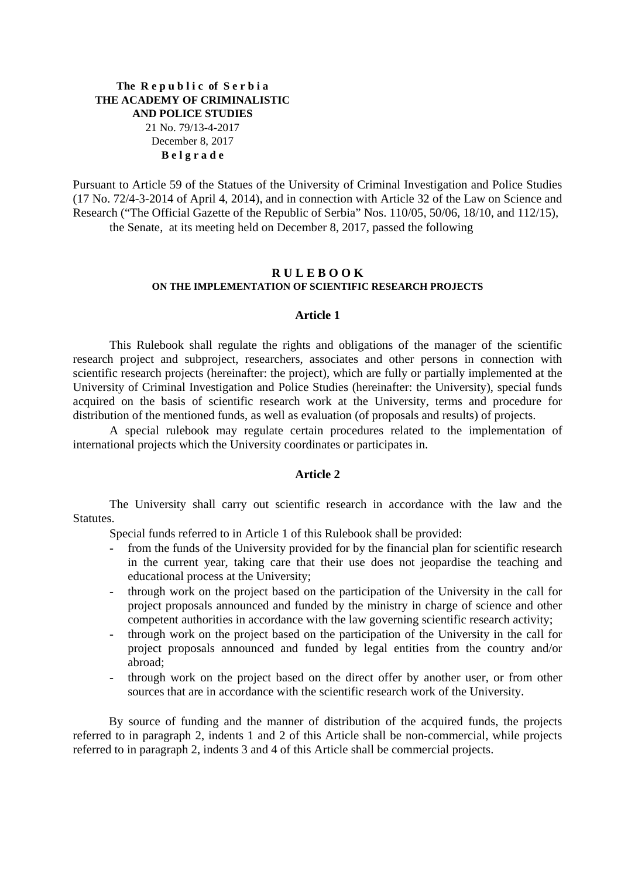### **The R e p u b l i c of S e r b i a THE ACADEMY OF CRIMINALISTIC AND POLICE STUDIES**  21 No. 79/13-4-2017

# December 8, 2017 **B e l g r a d e**

Pursuant to Article 59 of the Statues of the University of Criminal Investigation and Police Studies (17 No. 72/4-3-2014 of April 4, 2014), and in connection with Article 32 of the Law on Science and Research ("The Official Gazette of the Republic of Serbia" Nos. 110/05, 50/06, 18/10, and 112/15), the Senate, at its meeting held on December 8, 2017, passed the following

### **R U L E B O O K ON THE IMPLEMENTATION OF SCIENTIFIC RESEARCH PROJECTS**

### **Article 1**

 This Rulebook shall regulate the rights and obligations of the manager of the scientific research project and subproject, researchers, associates and other persons in connection with scientific research projects (hereinafter: the project), which are fully or partially implemented at the University of Criminal Investigation and Police Studies (hereinafter: the University), special funds acquired on the basis of scientific research work at the University, terms and procedure for distribution of the mentioned funds, as well as evaluation (of proposals and results) of projects.

 A special rulebook may regulate certain procedures related to the implementation of international projects which the University coordinates or participates in.

### **Article 2**

 The University shall carry out scientific research in accordance with the law and the Statutes.

Special funds referred to in Article 1 of this Rulebook shall be provided:

- from the funds of the University provided for by the financial plan for scientific research in the current year, taking care that their use does not jeopardise the teaching and educational process at the University;
- through work on the project based on the participation of the University in the call for project proposals announced and funded by the ministry in charge of science and other competent authorities in accordance with the law governing scientific research activity;
- through work on the project based on the participation of the University in the call for project proposals announced and funded by legal entities from the country and/or abroad;
- through work on the project based on the direct offer by another user, or from other sources that are in accordance with the scientific research work of the University.

By source of funding and the manner of distribution of the acquired funds, the projects referred to in paragraph 2, indents 1 and 2 of this Article shall be non-commercial, while projects referred to in paragraph 2, indents 3 and 4 of this Article shall be commercial projects.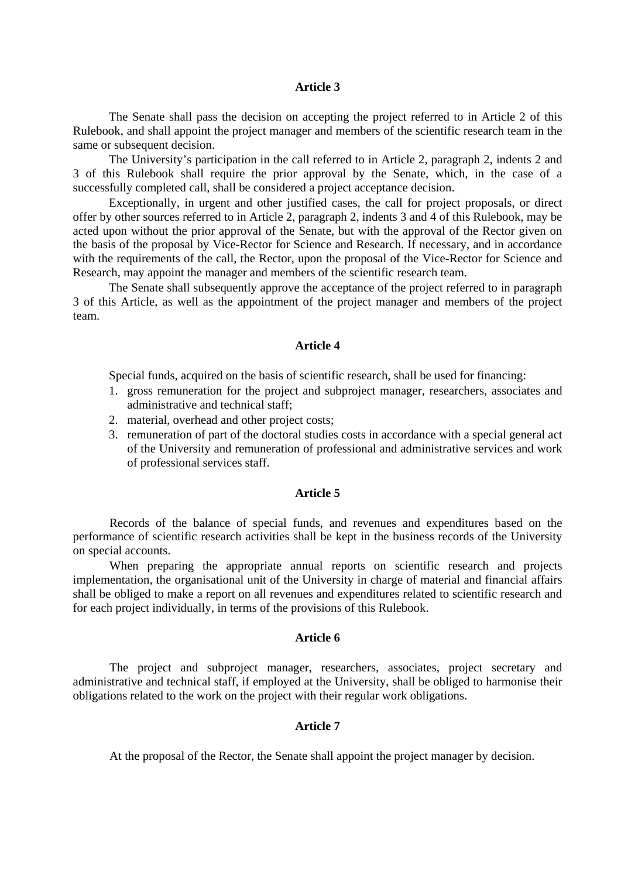#### **Article 3**

The Senate shall pass the decision on accepting the project referred to in Article 2 of this Rulebook, and shall appoint the project manager and members of the scientific research team in the same or subsequent decision.

The University's participation in the call referred to in Article 2, paragraph 2, indents 2 and 3 of this Rulebook shall require the prior approval by the Senate, which, in the case of a successfully completed call, shall be considered a project acceptance decision.

Exceptionally, in urgent and other justified cases, the call for project proposals, or direct offer by other sources referred to in Article 2, paragraph 2, indents 3 and 4 of this Rulebook, may be acted upon without the prior approval of the Senate, but with the approval of the Rector given on the basis of the proposal by Vice-Rector for Science and Research. If necessary, and in accordance with the requirements of the call, the Rector, upon the proposal of the Vice-Rector for Science and Research, may appoint the manager and members of the scientific research team.

The Senate shall subsequently approve the acceptance of the project referred to in paragraph 3 of this Article, as well as the appointment of the project manager and members of the project team.

### **Article 4**

Special funds, acquired on the basis of scientific research, shall be used for financing:

- 1. gross remuneration for the project and subproject manager, researchers, associates and administrative and technical staff;
- 2. material, overhead and other project costs;
- 3. remuneration of part of the doctoral studies costs in accordance with a special general act of the University and remuneration of professional and administrative services and work of professional services staff.

#### **Article 5**

Records of the balance of special funds, and revenues and expenditures based on the performance of scientific research activities shall be kept in the business records of the University on special accounts.

When preparing the appropriate annual reports on scientific research and projects implementation, the organisational unit of the University in charge of material and financial affairs shall be obliged to make a report on all revenues and expenditures related to scientific research and for each project individually, in terms of the provisions of this Rulebook.

### **Article 6**

 The project and subproject manager, researchers, associates, project secretary and administrative and technical staff, if employed at the University, shall be obliged to harmonise their obligations related to the work on the project with their regular work obligations.

### **Article 7**

At the proposal of the Rector, the Senate shall appoint the project manager by decision.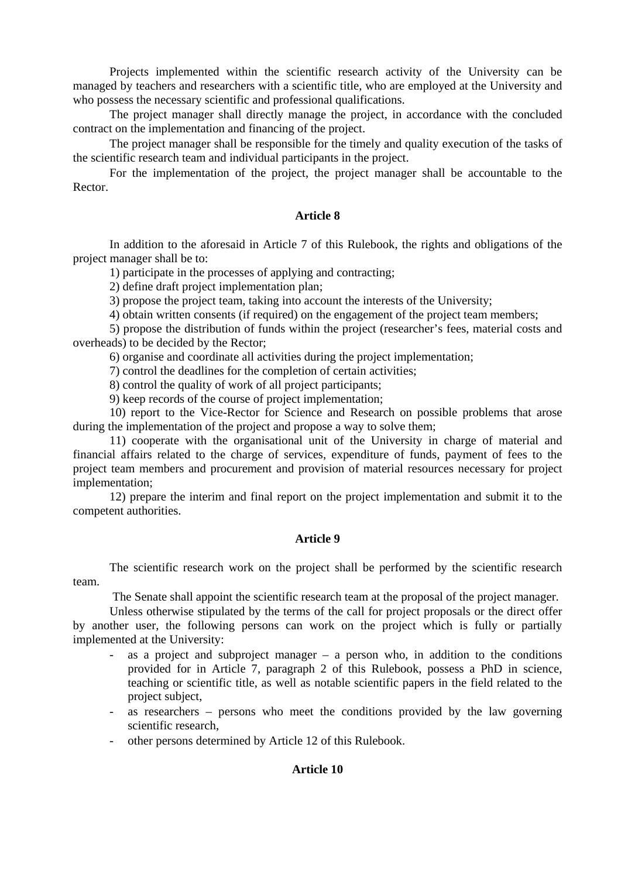Projects implemented within the scientific research activity of the University can be managed by teachers and researchers with a scientific title, who are employed at the University and who possess the necessary scientific and professional qualifications.

The project manager shall directly manage the project, in accordance with the concluded contract on the implementation and financing of the project.

The project manager shall be responsible for the timely and quality execution of the tasks of the scientific research team and individual participants in the project.

For the implementation of the project, the project manager shall be accountable to the Rector.

### **Article 8**

In addition to the aforesaid in Article 7 of this Rulebook, the rights and obligations of the project manager shall be to:

1) participate in the processes of applying and contracting;

2) define draft project implementation plan;

3) propose the project team, taking into account the interests of the University;

4) obtain written consents (if required) on the engagement of the project team members;

5) propose the distribution of funds within the project (researcher's fees, material costs and overheads) to be decided by the Rector;

6) organise and coordinate all activities during the project implementation;

7) control the deadlines for the completion of certain activities;

8) control the quality of work of all project participants;

9) keep records of the course of project implementation;

10) report to the Vice-Rector for Science and Research on possible problems that arose during the implementation of the project and propose a way to solve them;

11) cooperate with the organisational unit of the University in charge of material and financial affairs related to the charge of services, expenditure of funds, payment of fees to the project team members and procurement and provision of material resources necessary for project implementation;

12) prepare the interim and final report on the project implementation and submit it to the competent authorities.

# **Article 9**

The scientific research work on the project shall be performed by the scientific research team.

The Senate shall appoint the scientific research team at the proposal of the project manager.

Unless otherwise stipulated by the terms of the call for project proposals or the direct offer by another user, the following persons can work on the project which is fully or partially implemented at the University:

- as a project and subproject manager  $-$  a person who, in addition to the conditions provided for in Article 7, paragraph 2 of this Rulebook, possess a PhD in science, teaching or scientific title, as well as notable scientific papers in the field related to the project subject,
- as researchers persons who meet the conditions provided by the law governing scientific research,
- other persons determined by Article 12 of this Rulebook.

# **Article 10**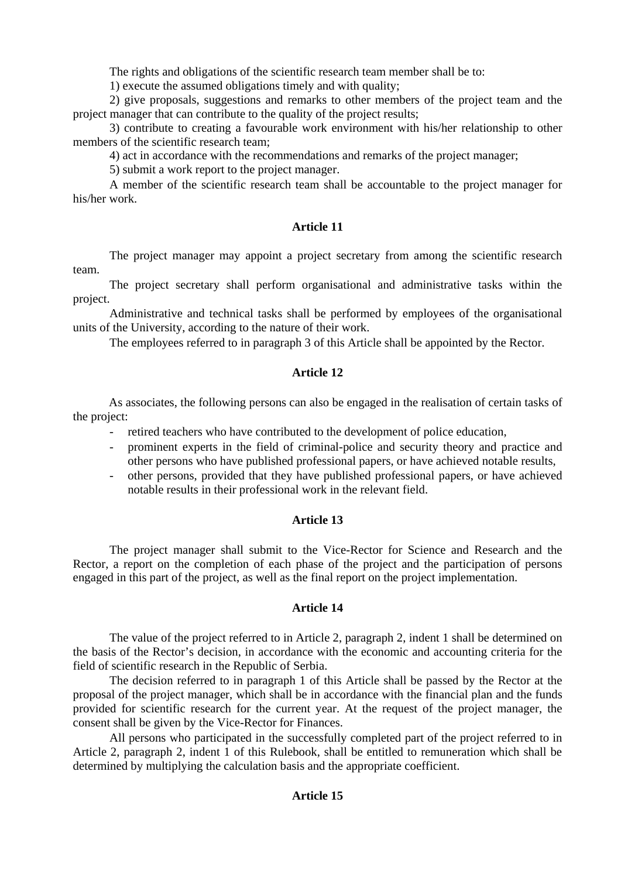The rights and obligations of the scientific research team member shall be to:

1) execute the assumed obligations timely and with quality;

2) give proposals, suggestions and remarks to other members of the project team and the project manager that can contribute to the quality of the project results;

3) contribute to creating a favourable work environment with his/her relationship to other members of the scientific research team;

4) act in accordance with the recommendations and remarks of the project manager;

5) submit a work report to the project manager.

A member of the scientific research team shall be accountable to the project manager for his/her work.

# **Article 11**

The project manager may appoint a project secretary from among the scientific research team.

The project secretary shall perform organisational and administrative tasks within the project.

Administrative and technical tasks shall be performed by employees of the organisational units of the University, according to the nature of their work.

The employees referred to in paragraph 3 of this Article shall be appointed by the Rector.

# **Article 12**

As associates, the following persons can also be engaged in the realisation of certain tasks of the project:

- retired teachers who have contributed to the development of police education,
- prominent experts in the field of criminal-police and security theory and practice and other persons who have published professional papers, or have achieved notable results,
- other persons, provided that they have published professional papers, or have achieved notable results in their professional work in the relevant field.

# **Article 13**

The project manager shall submit to the Vice-Rector for Science and Research and the Rector, a report on the completion of each phase of the project and the participation of persons engaged in this part of the project, as well as the final report on the project implementation.

# **Article 14**

The value of the project referred to in Article 2, paragraph 2, indent 1 shall be determined on the basis of the Rector's decision, in accordance with the economic and accounting criteria for the field of scientific research in the Republic of Serbia.

The decision referred to in paragraph 1 of this Article shall be passed by the Rector at the proposal of the project manager, which shall be in accordance with the financial plan and the funds provided for scientific research for the current year. At the request of the project manager, the consent shall be given by the Vice-Rector for Finances.

All persons who participated in the successfully completed part of the project referred to in Article 2, paragraph 2, indent 1 of this Rulebook, shall be entitled to remuneration which shall be determined by multiplying the calculation basis and the appropriate coefficient.

# **Article 15**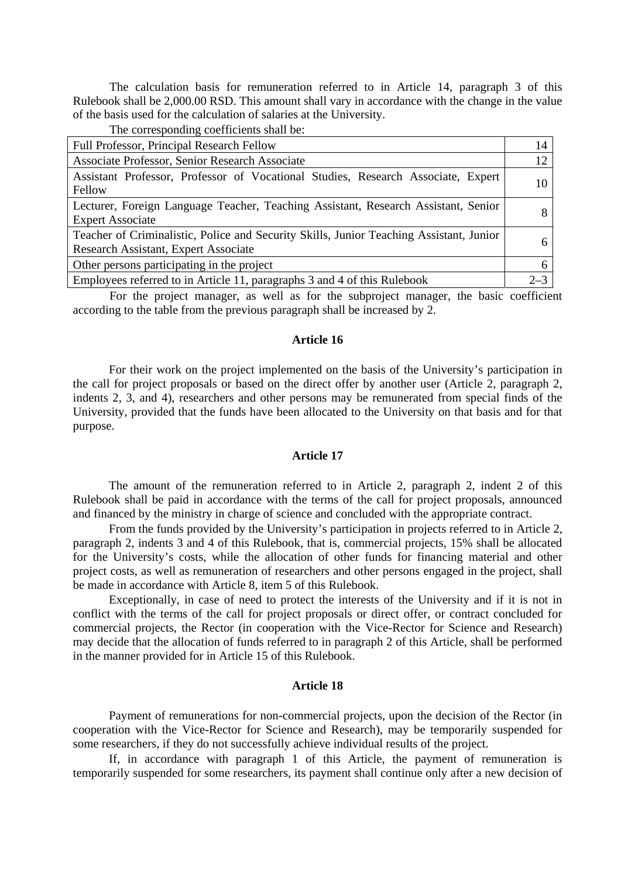The calculation basis for remuneration referred to in Article 14, paragraph 3 of this Rulebook shall be 2,000.00 RSD. This amount shall vary in accordance with the change in the value of the basis used for the calculation of salaries at the University.

The corresponding coefficients shall be:

| <b>Full Professor, Principal Research Fellow</b>                                                                                | 14      |
|---------------------------------------------------------------------------------------------------------------------------------|---------|
| Associate Professor, Senior Research Associate                                                                                  | 12      |
| Assistant Professor, Professor of Vocational Studies, Research Associate, Expert<br>Fellow                                      | 10      |
| Lecturer, Foreign Language Teacher, Teaching Assistant, Research Assistant, Senior<br><b>Expert Associate</b>                   |         |
| Teacher of Criminalistic, Police and Security Skills, Junior Teaching Assistant, Junior<br>Research Assistant, Expert Associate |         |
| Other persons participating in the project                                                                                      |         |
| Employees referred to in Article 11, paragraphs 3 and 4 of this Rulebook                                                        | $2 - 3$ |

For the project manager, as well as for the subproject manager, the basic coefficient according to the table from the previous paragraph shall be increased by 2.

#### **Article 16**

For their work on the project implemented on the basis of the University's participation in the call for project proposals or based on the direct offer by another user (Article 2, paragraph 2, indents 2, 3, and 4), researchers and other persons may be remunerated from special finds of the University, provided that the funds have been allocated to the University on that basis and for that purpose.

#### **Article 17**

The amount of the remuneration referred to in Article 2, paragraph 2, indent 2 of this Rulebook shall be paid in accordance with the terms of the call for project proposals, announced and financed by the ministry in charge of science and concluded with the appropriate contract.

From the funds provided by the University's participation in projects referred to in Article 2, paragraph 2, indents 3 and 4 of this Rulebook, that is, commercial projects, 15% shall be allocated for the University's costs, while the allocation of other funds for financing material and other project costs, as well as remuneration of researchers and other persons engaged in the project, shall be made in accordance with Article 8, item 5 of this Rulebook.

Exceptionally, in case of need to protect the interests of the University and if it is not in conflict with the terms of the call for project proposals or direct offer, or contract concluded for commercial projects, the Rector (in cooperation with the Vice-Rector for Science and Research) may decide that the allocation of funds referred to in paragraph 2 of this Article, shall be performed in the manner provided for in Article 15 of this Rulebook.

#### **Article 18**

Payment of remunerations for non-commercial projects, upon the decision of the Rector (in cooperation with the Vice-Rector for Science and Research), may be temporarily suspended for some researchers, if they do not successfully achieve individual results of the project.

If, in accordance with paragraph 1 of this Article, the payment of remuneration is temporarily suspended for some researchers, its payment shall continue only after a new decision of